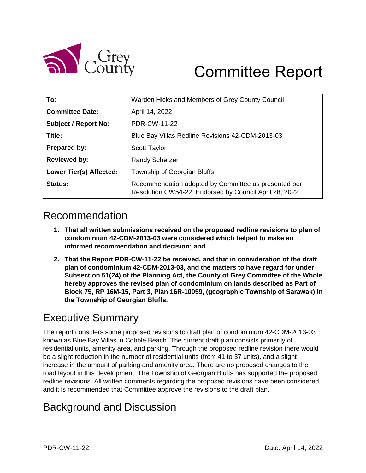

# Committee Report

| To:                            | Warden Hicks and Members of Grey County Council                                                                |
|--------------------------------|----------------------------------------------------------------------------------------------------------------|
| <b>Committee Date:</b>         | April 14, 2022                                                                                                 |
| <b>Subject / Report No:</b>    | PDR-CW-11-22                                                                                                   |
| Title:                         | Blue Bay Villas Redline Revisions 42-CDM-2013-03                                                               |
| Prepared by:                   | <b>Scott Taylor</b>                                                                                            |
| <b>Reviewed by:</b>            | <b>Randy Scherzer</b>                                                                                          |
| <b>Lower Tier(s) Affected:</b> | Township of Georgian Bluffs                                                                                    |
| <b>Status:</b>                 | Recommendation adopted by Committee as presented per<br>Resolution CW54-22; Endorsed by Council April 28, 2022 |

### Recommendation

- **1. That all written submissions received on the proposed redline revisions to plan of condominium 42-CDM-2013-03 were considered which helped to make an informed recommendation and decision; and**
- **2. That the Report PDR-CW-11-22 be received, and that in consideration of the draft plan of condominium 42-CDM-2013-03, and the matters to have regard for under Subsection 51(24) of the Planning Act, the County of Grey Committee of the Whole hereby approves the revised plan of condominium on lands described as Part of Block 75, RP 16M-15, Part 3, Plan 16R-10059, (geographic Township of Sarawak) in the Township of Georgian Bluffs.**

### Executive Summary

The report considers some proposed revisions to draft plan of condominium 42-CDM-2013-03 known as Blue Bay Villas in Cobble Beach. The current draft plan consists primarily of residential units, amenity area, and parking. Through the proposed redline revision there would be a slight reduction in the number of residential units (from 41 to 37 units), and a slight increase in the amount of parking and amenity area. There are no proposed changes to the road layout in this development. The Township of Georgian Bluffs has supported the proposed redline revisions. All written comments regarding the proposed revisions have been considered and it is recommended that Committee approve the revisions to the draft plan.

### Background and Discussion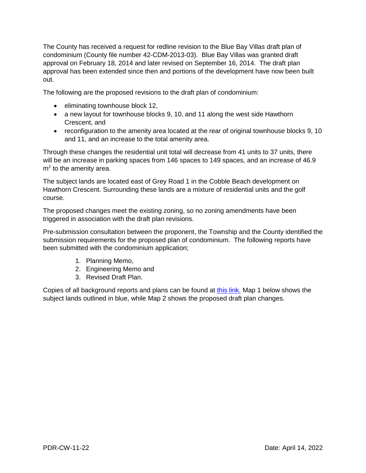The County has received a request for redline revision to the Blue Bay Villas draft plan of condominium (County file number 42-CDM-2013-03). Blue Bay Villas was granted draft approval on February 18, 2014 and later revised on September 16, 2014. The draft plan approval has been extended since then and portions of the development have now been built out.

The following are the proposed revisions to the draft plan of condominium:

- eliminating townhouse block 12,
- a new layout for townhouse blocks 9, 10, and 11 along the west side Hawthorn Crescent, and
- reconfiguration to the amenity area located at the rear of original townhouse blocks 9, 10 and 11, and an increase to the total amenity area.

Through these changes the residential unit total will decrease from 41 units to 37 units, there will be an increase in parking spaces from 146 spaces to 149 spaces, and an increase of 46.9  $m<sup>2</sup>$  to the amenity area.

The subject lands are located east of Grey Road 1 in the Cobble Beach development on Hawthorn Crescent. Surrounding these lands are a mixture of residential units and the golf course.

The proposed changes meet the existing zoning, so no zoning amendments have been triggered in association with the draft plan revisions.

Pre-submission consultation between the proponent, the Township and the County identified the submission requirements for the proposed plan of condominium. The following reports have been submitted with the condominium application;

- 1. Planning Memo,
- 2. Engineering Memo and
- 3. Revised Draft Plan.

Copies of all background reports and plans can be found at [this link.](https://www.grey.ca/planning-development/planning-applications) Map 1 below shows the subject lands outlined in blue, while Map 2 shows the proposed draft plan changes.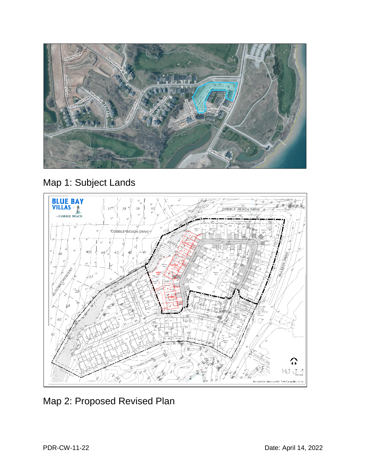

# Map 1: Subject Lands



### Map 2: Proposed Revised Plan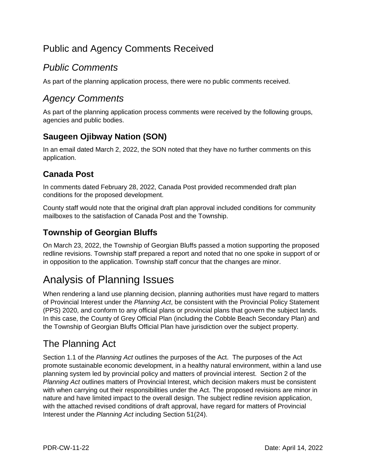### Public and Agency Comments Received

#### *Public Comments*

As part of the planning application process, there were no public comments received.

#### *Agency Comments*

As part of the planning application process comments were received by the following groups, agencies and public bodies.

#### **Saugeen Ojibway Nation (SON)**

In an email dated March 2, 2022, the SON noted that they have no further comments on this application.

#### **Canada Post**

In comments dated February 28, 2022, Canada Post provided recommended draft plan conditions for the proposed development.

County staff would note that the original draft plan approval included conditions for community mailboxes to the satisfaction of Canada Post and the Township.

#### **Township of Georgian Bluffs**

On March 23, 2022, the Township of Georgian Bluffs passed a motion supporting the proposed redline revisions. Township staff prepared a report and noted that no one spoke in support of or in opposition to the application. Township staff concur that the changes are minor.

# Analysis of Planning Issues

When rendering a land use planning decision, planning authorities must have regard to matters of Provincial Interest under the *Planning Act*, be consistent with the Provincial Policy Statement (PPS) 2020, and conform to any official plans or provincial plans that govern the subject lands. In this case, the County of Grey Official Plan (including the Cobble Beach Secondary Plan) and the Township of Georgian Bluffs Official Plan have jurisdiction over the subject property.

#### The Planning Act

Section 1.1 of the *Planning Act* outlines the purposes of the Act. The purposes of the Act promote sustainable economic development, in a healthy natural environment, within a land use planning system led by provincial policy and matters of provincial interest. Section 2 of the *Planning Act* outlines matters of Provincial Interest, which decision makers must be consistent with when carrying out their responsibilities under the Act. The proposed revisions are minor in nature and have limited impact to the overall design. The subject redline revision application, with the attached revised conditions of draft approval, have regard for matters of Provincial Interest under the *Planning Act* including Section 51(24).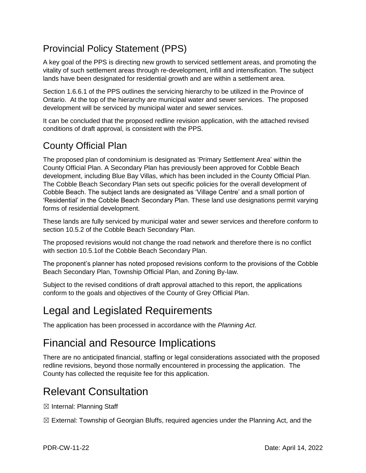### Provincial Policy Statement (PPS)

A key goal of the PPS is directing new growth to serviced settlement areas, and promoting the vitality of such settlement areas through re-development, infill and intensification. The subject lands have been designated for residential growth and are within a settlement area.

Section 1.6.6.1 of the PPS outlines the servicing hierarchy to be utilized in the Province of Ontario. At the top of the hierarchy are municipal water and sewer services. The proposed development will be serviced by municipal water and sewer services.

It can be concluded that the proposed redline revision application, with the attached revised conditions of draft approval, is consistent with the PPS.

### County Official Plan

The proposed plan of condominium is designated as 'Primary Settlement Area' within the County Official Plan. A Secondary Plan has previously been approved for Cobble Beach development, including Blue Bay Villas, which has been included in the County Official Plan. The Cobble Beach Secondary Plan sets out specific policies for the overall development of Cobble Beach. The subject lands are designated as 'Village Centre' and a small portion of 'Residential' in the Cobble Beach Secondary Plan. These land use designations permit varying forms of residential development.

These lands are fully serviced by municipal water and sewer services and therefore conform to section 10.5.2 of the Cobble Beach Secondary Plan.

The proposed revisions would not change the road network and therefore there is no conflict with section 10.5.1of the Cobble Beach Secondary Plan.

The proponent's planner has noted proposed revisions conform to the provisions of the Cobble Beach Secondary Plan, Township Official Plan, and Zoning By-law.

Subject to the revised conditions of draft approval attached to this report, the applications conform to the goals and objectives of the County of Grey Official Plan.

# Legal and Legislated Requirements

The application has been processed in accordance with the *Planning Act*.

# Financial and Resource Implications

There are no anticipated financial, staffing or legal considerations associated with the proposed redline revisions, beyond those normally encountered in processing the application. The County has collected the requisite fee for this application.

# Relevant Consultation

☒ Internal: Planning Staff

☒ External: Township of Georgian Bluffs, required agencies under the Planning Act, and the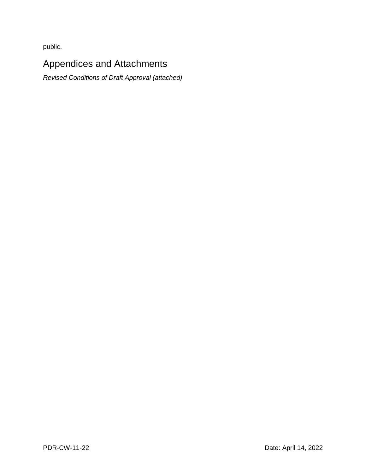public.

### Appendices and Attachments

*Revised Conditions of Draft Approval (attached)*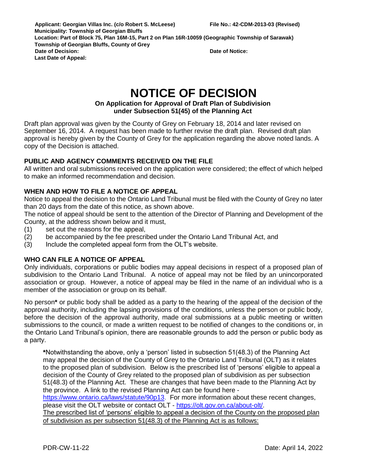**Applicant: Georgian Villas Inc. (c/o Robert S. McLeese) File No.: 42-CDM-2013-03 (Revised) Municipality: Township of Georgian Bluffs Location: Part of Block 75, Plan 16M-15, Part 2 on Plan 16R-10059 (Geographic Township of Sarawak) Township of Georgian Bluffs, County of Grey Date of Decision: Date of Notice: Last Date of Appeal:** 

# **NOTICE OF DECISION**

#### **On Application for Approval of Draft Plan of Subdivision under Subsection 51(45) of the Planning Act**

Draft plan approval was given by the County of Grey on February 18, 2014 and later revised on September 16, 2014. A request has been made to further revise the draft plan. Revised draft plan approval is hereby given by the County of Grey for the application regarding the above noted lands. A copy of the Decision is attached.

#### **PUBLIC AND AGENCY COMMENTS RECEIVED ON THE FILE**

All written and oral submissions received on the application were considered; the effect of which helped to make an informed recommendation and decision.

#### **WHEN AND HOW TO FILE A NOTICE OF APPEAL**

Notice to appeal the decision to the Ontario Land Tribunal must be filed with the County of Grey no later than 20 days from the date of this notice, as shown above.

The notice of appeal should be sent to the attention of the Director of Planning and Development of the County, at the address shown below and it must,

- (1) set out the reasons for the appeal,
- (2) be accompanied by the fee prescribed under the Ontario Land Tribunal Act, and
- (3) Include the completed appeal form from the OLT's website.

#### **WHO CAN FILE A NOTICE OF APPEAL**

Only individuals, corporations or public bodies may appeal decisions in respect of a proposed plan of subdivision to the Ontario Land Tribunal. A notice of appeal may not be filed by an unincorporated association or group. However, a notice of appeal may be filed in the name of an individual who is a member of the association or group on its behalf.

No person**\*** or public body shall be added as a party to the hearing of the appeal of the decision of the approval authority, including the lapsing provisions of the conditions, unless the person or public body, before the decision of the approval authority, made oral submissions at a public meeting or written submissions to the council, or made a written request to be notified of changes to the conditions or, in the Ontario Land Tribunal's opinion, there are reasonable grounds to add the person or public body as a party.

**\***Notwithstanding the above, only a 'person' listed in subsection 51(48.3) of the Planning Act may appeal the decision of the County of Grey to the Ontario Land Tribunal (OLT) as it relates to the proposed plan of subdivision. Below is the prescribed list of 'persons' eligible to appeal a decision of the County of Grey related to the proposed plan of subdivision as per subsection 51(48.3) of the Planning Act. These are changes that have been made to the Planning Act by the province. A link to the revised Planning Act can be found here -

[https://www.ontario.ca/laws/statute/90p13.](https://www.ontario.ca/laws/statute/90p13) For more information about these recent changes, please visit the OLT website or contact OLT - [https://olt.gov.on.ca/about-olt/.](https://olt.gov.on.ca/about-olt/)

The prescribed list of 'persons' eligible to appeal a decision of the County on the proposed plan of subdivision as per subsection 51(48.3) of the Planning Act is as follows: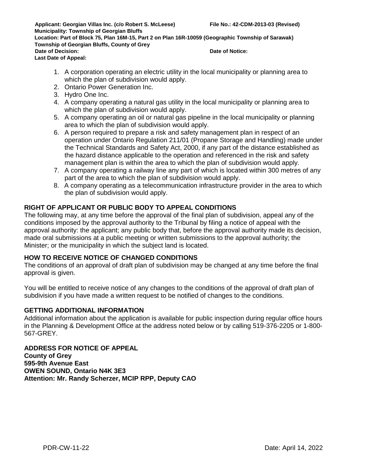**Applicant: Georgian Villas Inc. (c/o Robert S. McLeese) File No.: 42-CDM-2013-03 (Revised) Municipality: Township of Georgian Bluffs Location: Part of Block 75, Plan 16M-15, Part 2 on Plan 16R-10059 (Geographic Township of Sarawak) Township of Georgian Bluffs, County of Grey Date of Decision: Date of Notice: Last Date of Appeal:** 

- 1. A corporation operating an electric utility in the local municipality or planning area to which the plan of subdivision would apply.
- 2. Ontario Power Generation Inc.
- 3. Hydro One Inc.
- 4. A company operating a natural gas utility in the local municipality or planning area to which the plan of subdivision would apply.
- 5. A company operating an oil or natural gas pipeline in the local municipality or planning area to which the plan of subdivision would apply.
- 6. A person required to prepare a risk and safety management plan in respect of an operation under Ontario Regulation 211/01 (Propane Storage and Handling) made under the Technical Standards and Safety Act, 2000, if any part of the distance established as the hazard distance applicable to the operation and referenced in the risk and safety management plan is within the area to which the plan of subdivision would apply.
- 7. A company operating a railway line any part of which is located within 300 metres of any part of the area to which the plan of subdivision would apply.
- 8. A company operating as a telecommunication infrastructure provider in the area to which the plan of subdivision would apply.

#### **RIGHT OF APPLICANT OR PUBLIC BODY TO APPEAL CONDITIONS**

The following may, at any time before the approval of the final plan of subdivision, appeal any of the conditions imposed by the approval authority to the Tribunal by filing a notice of appeal with the approval authority: the applicant; any public body that, before the approval authority made its decision, made oral submissions at a public meeting or written submissions to the approval authority; the Minister; or the municipality in which the subject land is located.

#### **HOW TO RECEIVE NOTICE OF CHANGED CONDITIONS**

The conditions of an approval of draft plan of subdivision may be changed at any time before the final approval is given.

You will be entitled to receive notice of any changes to the conditions of the approval of draft plan of subdivision if you have made a written request to be notified of changes to the conditions.

#### **GETTING ADDITIONAL INFORMATION**

Additional information about the application is available for public inspection during regular office hours in the Planning & Development Office at the address noted below or by calling 519-376-2205 or 1-800- 567-GREY.

#### **ADDRESS FOR NOTICE OF APPEAL County of Grey 595-9th Avenue East OWEN SOUND, Ontario N4K 3E3 Attention: Mr. Randy Scherzer, MCIP RPP, Deputy CAO**